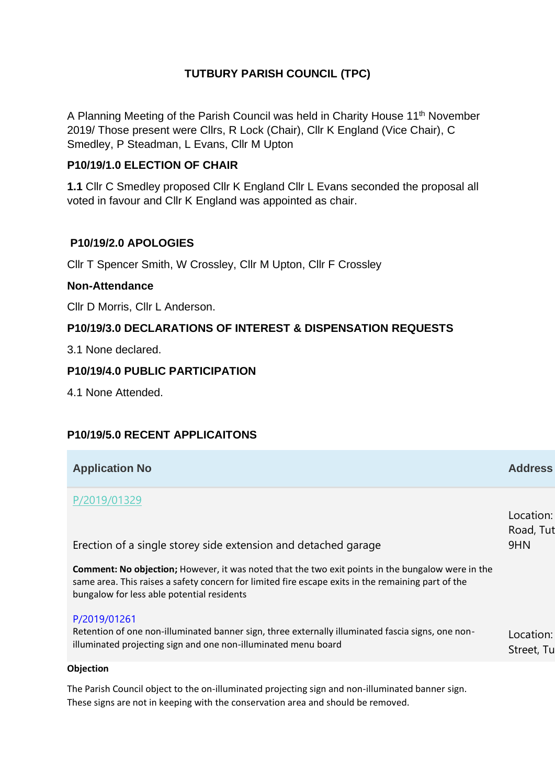## **TUTBURY PARISH COUNCIL (TPC)**

A Planning Meeting of the Parish Council was held in Charity House 11<sup>th</sup> November 2019/ Those present were Cllrs, R Lock (Chair), Cllr K England (Vice Chair), C Smedley, P Steadman, L Evans, Cllr M Upton

### **P10/19/1.0 ELECTION OF CHAIR**

**1.1** Cllr C Smedley proposed Cllr K England Cllr L Evans seconded the proposal all voted in favour and Cllr K England was appointed as chair.

### **P10/19/2.0 APOLOGIES**

Cllr T Spencer Smith, W Crossley, Cllr M Upton, Cllr F Crossley

#### **Non-Attendance**

Cllr D Morris, Cllr L Anderson.

### **P10/19/3.0 DECLARATIONS OF INTEREST & DISPENSATION REQUESTS**

3.1 None declared.

#### **P10/19/4.0 PUBLIC PARTICIPATION**

4.1 None Attended.

### **P10/19/5.0 RECENT APPLICAITONS**

| <b>Application No</b>                                                                                                                                                                                                                                        | <b>Address</b>                |
|--------------------------------------------------------------------------------------------------------------------------------------------------------------------------------------------------------------------------------------------------------------|-------------------------------|
| P/2019/01329<br>Erection of a single storey side extension and detached garage                                                                                                                                                                               | Location:<br>Road, Tut<br>9HN |
| <b>Comment: No objection;</b> However, it was noted that the two exit points in the bungalow were in the<br>same area. This raises a safety concern for limited fire escape exits in the remaining part of the<br>bungalow for less able potential residents |                               |
| P/2019/01261<br>Retention of one non-illuminated banner sign, three externally illuminated fascia signs, one non-<br>illuminated projecting sign and one non-illuminated menu board                                                                          | Location:<br>Street, Tu       |
|                                                                                                                                                                                                                                                              |                               |

#### **Objection**

The Parish Council object to the on-illuminated projecting sign and non-illuminated banner sign. These signs are not in keeping with the conservation area and should be removed.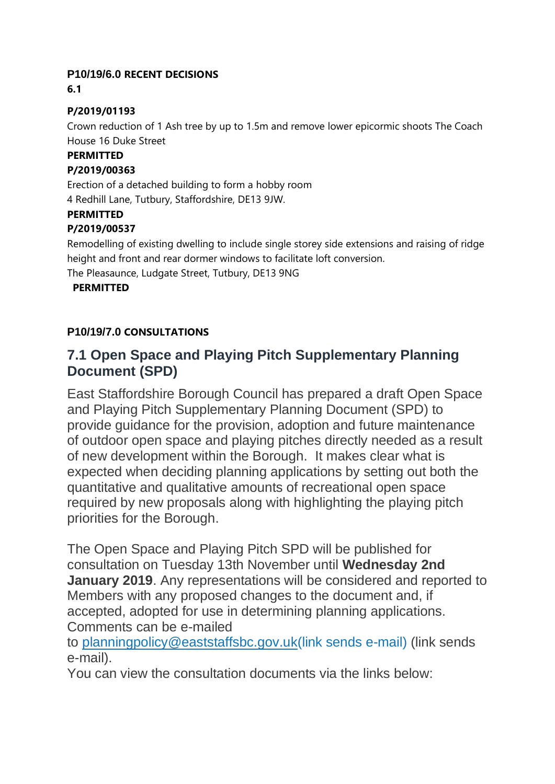### **P10/19/6.0 RECENT DECISIONS**

**6.1**

### **P/2019/01193**

Crown reduction of 1 Ash tree by up to 1.5m and remove lower epicormic shoots The Coach House 16 Duke Street

### **PERMITTED**

### **P/2019/00363**

Erection of a detached building to form a hobby room 4 Redhill Lane, Tutbury, Staffordshire, DE13 9JW.

#### **PERMITTED**

### **P/2019/00537**

Remodelling of existing dwelling to include single storey side extensions and raising of ridge height and front and rear dormer windows to facilitate loft conversion.

The Pleasaunce, Ludgate Street, Tutbury, DE13 9NG

### **PERMITTED**

## **P10/19/7.0 CONSULTATIONS**

# **7.1 Open Space and Playing Pitch Supplementary Planning Document (SPD)**

East Staffordshire Borough Council has prepared a draft Open Space and Playing Pitch Supplementary Planning Document (SPD) to provide guidance for the provision, adoption and future maintenance of outdoor open space and playing pitches directly needed as a result of new development within the Borough. It makes clear what is expected when deciding planning applications by setting out both the quantitative and qualitative amounts of recreational open space required by new proposals along with highlighting the playing pitch priorities for the Borough.

The Open Space and Playing Pitch SPD will be published for consultation on Tuesday 13th November until **Wednesday 2nd January 2019**. Any representations will be considered and reported to Members with any proposed changes to the document and, if accepted, adopted for use in determining planning applications. Comments can be e-mailed

to [planningpolicy@eaststaffsbc.gov.uk\(link](mailto:planningpolicy@eaststaffsbc.gov.uk) sends e-mail) (link sends e-mail).

You can view the consultation documents via the links below: